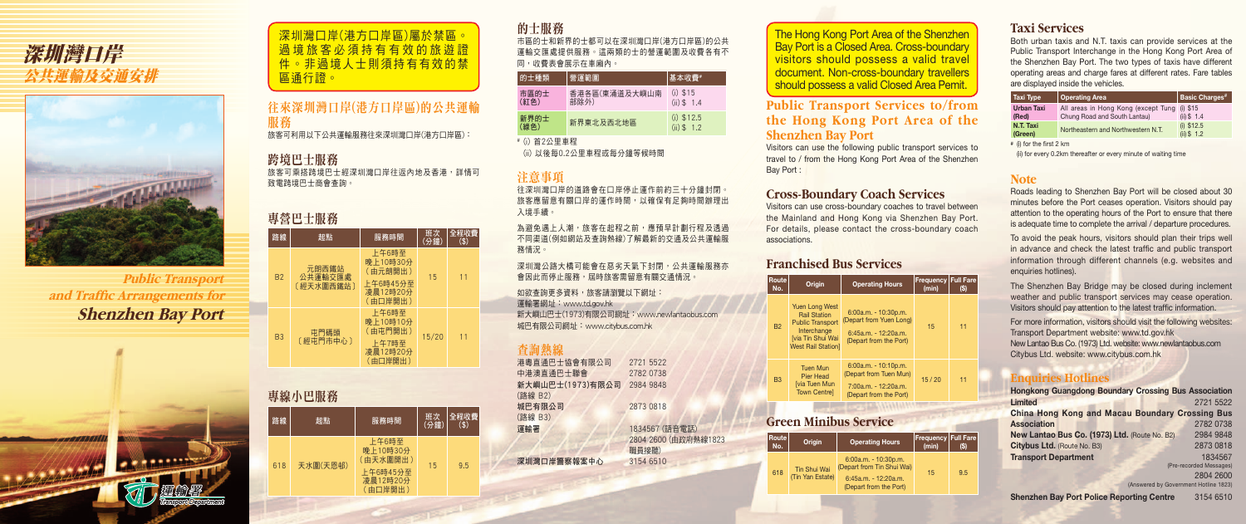**Public Transport** and Traffic Arrangements for **Shenzhen Bay Port**



# 深圳灣口岸 公共運輸及交通安排



### 的士服務

市區的士和新界的士都可以在深圳灣口岸(港方口岸區)的公共 運輸交匯處提供服務。這兩類的士的營運範圍及收費各有不 同,收費表會展示在車廂內。

| 的士種類                                          | 營運範圍                  | 基本收費#                         |  |  |
|-----------------------------------------------|-----------------------|-------------------------------|--|--|
| 市區的士<br>(紅色)                                  | 香港各區(東涌道及大嶼山南<br>部除外) | $(i)$ \$15<br>$(ii)$ \$ 1.4   |  |  |
| 新界的士<br>(綠色)                                  | 新界東北及西北地區             | $(i)$ \$12.5<br>$(ii)$ \$ 1.2 |  |  |
| <sub>#</sub> / \ <del>&gt;</del> ⌒ / \ 罒 士 エ□ |                       |                               |  |  |

為避免遇上人潮,旅客在起程之前,應預早計劃行程及透過 不同渠道(例如網站及查詢熱線)了解最新的交通及公共運輸服 務情況。

深圳灣公路大橋可能會在惡劣天氣下封閉,公共運輸服務亦 會因此而停止服務,屆時旅客需留意有關交通情況。

# (i) 首2公里車程

(ii) 以後每0.2公里車程或每分鐘等候時間

### 注意事項

往深圳灣口岸的道路會在口岸停止運作前約三十分鐘封閉。 旅客應留意有關口岸的運作時間,以確保有足夠時間辦理出 入境手續。

如欲查詢更多資料,旅客請瀏覽以下網址:

### 專線小巴服務 路線 起點 服務時間 班次 班次<br>(分鐘) 全程收費 (\$) 618 天水圍(天恩邨) 上午6時至 晚上10時30分 (由天水圍開出) 上午6時45分至 凌晨12時20分 (由口岸開出)  $15<sub>°</sub>$

運輸署網址:www.td.gov.hk 新大嶼山巴士(1973)有限公司網址:www.newlantaobus.com 城巴有限公司網址:www.citybus.com.hk

### 查詢熱線

| 港粵直通巴士協會有限公司     | 2721 5522            |
|------------------|----------------------|
| 中港澳直通巴士聯會        | 2782 0738            |
| 新大嶼山巴士(1973)有限公司 | 2984 9848            |
| (路線 B2)          |                      |
| 城巴有限公司           | 2873 0818            |
| (路線 B3)          |                      |
| 運輸署              | 1834567 (語音電話)       |
|                  | 2804 2600 (由政府熱線1823 |
|                  | 職員接聽)                |
| 深圳灣口岸警察報案中心      | 3154 6510            |
|                  |                      |

## 往來深圳灣口岸(港方口岸區)的公共運輸 服務

||旅客可利用以下公共連輸服務任來深圳灣口岸(港万口岸區): ↓

### 跨境巴士服務

旅客可乘搭跨境巴士經深圳灣口岸往返內地及香港,詳情可 致電跨境巴士商會查詢。

### 專營巴士服務

| 路線        | 起點                            | 服務時間                                                            | 班次<br>(分鐘) | 全程收費<br>$($)$ |
|-----------|-------------------------------|-----------------------------------------------------------------|------------|---------------|
| <b>B2</b> | 元朗西鐵站<br>公共運輸交匯處<br>〔經天水圍西鐵站〕 | 上午6時至<br>晚上10時30分<br>(由元朗開出)<br>上午6時45分至<br>凌晨12時20分<br>(由口岸開出) | 15         | 11            |
| <b>B3</b> | 屯門碼頭<br>〔經屯門市中心〕              | 上午6時至<br>晚上10時10分<br>(由屯門開出)<br>上午7時至<br>凌晨12時20分<br>(由口岸開出)    | 15/20      | 11            |

### **Public Transport Services to/from the Hong Kong Port Area of the Shenzhen Bay Port**

Visitors can use the following public transport services to travel to / from the Hong Kong Port Area of the Shenzhen Bay Port :

### **Cross-Boundary Coach Services**

Visitors can use cross-boundary coaches to travel between the Mainland and Hong Kong via Shenzhen Bay Port. For details, please contact the cross-boundary coach

associations.

### **Franchised Bus Services**

**Route** 

The Shenzhen Bay Bridge may be closed during inclement weather and public transport services may cease operation. Visitors should pay attention to the latest traffic information.

B2

| <b>loute</b><br>No. | Origin                                                                                                                                          | <b>Operating Hours</b>                                                                                | Frequency   Full Fare<br>(min) | (S) |
|---------------------|-------------------------------------------------------------------------------------------------------------------------------------------------|-------------------------------------------------------------------------------------------------------|--------------------------------|-----|
| <b>B2</b>           | <b>Yuen Long West</b><br><b>Rail Station</b><br><b>Public Transport</b><br>Interchange<br><b>[via Tin Shui Wai</b><br><b>West Rail Station]</b> | $6:00a.m. - 10:30p.m.$<br>(Depart from Yuen Long)<br>$6:45a.m. - 12:20a.m.$<br>(Depart from the Port) | 15                             | 11  |
| <b>B3</b>           | <b>Tuen Mun</b><br>Pier Head<br><b>Ivia Tuen Mun</b><br><b>Town Centrel</b>                                                                     | $6:00a.m. - 10:10p.m.$<br>(Depart from Tuen Mun)<br>$7:00a.m. - 12:20a.m.$<br>(Depart from the Port)  | 15/20                          | 11  |

### **Green Minibus Service**

**Route** 

深圳灣口岸(港方口岸區)屬於禁區 過境旅客必須持有有效的旅 件。非過境人士則須持有有效的禁 區通行證。

| ¦oute l<br>No. | Origin                                  | <b>Operating Hours</b>                                                                                   | Frequency Full Fare<br>(min) | (S) |
|----------------|-----------------------------------------|----------------------------------------------------------------------------------------------------------|------------------------------|-----|
| 618            | <b>Tin Shui Wai</b><br>(Tin Yan Estate) | $6:00a.m. - 10:30p.m.$<br>(Depart from Tin Shui Wai)<br>$6:45a.m. - 12:20a.m.$<br>(Depart from the Port) | 15                           | 9.5 |

### **Taxi Services**

Both urban taxis and N.T. taxis can provide services at the Public Transport Interchange in the Hong Kong Port Area of the Shenzhen Bay Port. The two types of taxis have different operating areas and charge fares at different rates. Fare tables are displayed inside the vehicles.

| Taxi Type                  | Operating Area                                                      | <b>Basic Charges<sup>#</sup></b> |
|----------------------------|---------------------------------------------------------------------|----------------------------------|
| <b>Urban Taxi</b><br>(Red) | All areas in Hong Kong (except Tung<br>Chung Road and South Lantau) | $(i)$ \$15<br>$(ii)$ \$ 1.4      |
| N.T. Taxi<br>(Green)       | Northeastern and Northwestern N.T.                                  | $(i)$ \$12.5<br>$(ii)$ \$ 1.2    |

# (i) for the first 2 km

(ii) for every 0.2km thereafter or every minute of waiting time

### **Note**

Roads leading to Shenzhen Bay Port will be closed about 30 minutes before the Port ceases operation. Visitors should pay attention to the operating hours of the Port to ensure that there is adequate time to complete the arrival / departure procedures.

To avoid the peak hours, visitors should plan their trips well in advance and check the latest traffic and public transport information through different channels (e.g. websites and enquiries hotlines).

For more information, visitors should visit the following websites: Transport Department website: www.td.gov.hk New Lantao Bus Co. (1973) Ltd. website: www.newlantaobus.com Citybus Ltd. website: www.citybus.com.hk

### **Enquiries Hotlines**

| <b>Hongkong Guangdong Boundary Crossing Bus Association</b> |                         |
|-------------------------------------------------------------|-------------------------|
| <b>Limited</b>                                              | 2721 5522               |
| <b>China Hong Kong and Macau Boundary Crossing Bus</b>      |                         |
| <b>Association</b>                                          | 2782 0738               |
| New Lantao Bus Co. (1973) Ltd. (Route No. B2)               | 2984 9848               |
| Citybus Ltd. (Route No. B3)                                 | 2873 0818               |
| <b>Transport Department</b>                                 | 1834567                 |
|                                                             | (Pre-recorded Messages) |
|                                                             | 2804 2600               |

(Answered by Government Hotline 1823)

**Shenzhen Bay Port Police Reporting Centre** 3154 6510

The Hong Kong Port Area of the Shenzhen Bay Port is a Closed Area. Cross-boundary visitors should possess a valid travel document. Non-cross-boundary travellers should possess a valid Closed Area Pemit.